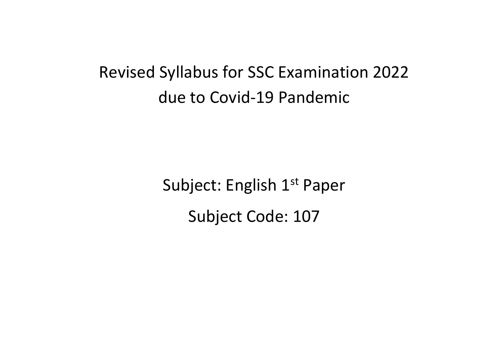## Revised Syllabus for SSC Examination 2022 due to Covid-19 Pandemic

Subject: English 1<sup>st</sup> Paper Subject Code: 107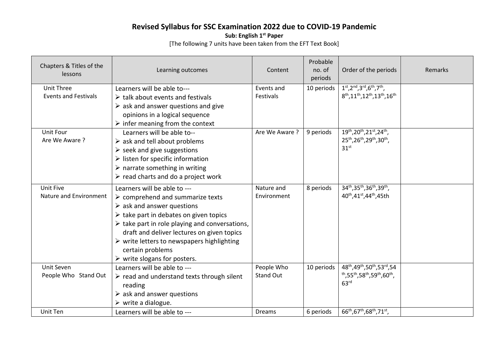## **Revised Syllabus for SSC Examination 2022 due to COVID-19 Pandemic**

**Sub: English 1st Paper** 

[The following 7 units have been taken from the EFT Text Book]

| Chapters & Titles of the<br>lessons              | Learning outcomes                                                                                                                                                                                                                                                                                                                                                                                                                    | Content                   | Probable<br>no. of<br>periods | Order of the periods                                                                                                                                  | Remarks |
|--------------------------------------------------|--------------------------------------------------------------------------------------------------------------------------------------------------------------------------------------------------------------------------------------------------------------------------------------------------------------------------------------------------------------------------------------------------------------------------------------|---------------------------|-------------------------------|-------------------------------------------------------------------------------------------------------------------------------------------------------|---------|
| <b>Unit Three</b><br><b>Events and Festivals</b> | Learners will be able to---<br>$\triangleright$ talk about events and festivals<br>$\triangleright$ ask and answer questions and give<br>opinions in a logical sequence<br>$\triangleright$ infer meaning from the context                                                                                                                                                                                                           | Events and<br>Festivals   | 10 periods                    | $1^{st}$ , $2^{nd}$ , $3^{rd}$ , $6^{th}$ , $7^{th}$ ,<br>8 <sup>th</sup> , 11 <sup>th</sup> , 12 <sup>th</sup> , 13 <sup>th</sup> , 16 <sup>th</sup> |         |
| Unit Four<br>Are We Aware?                       | Learners will be able to--<br>$\triangleright$ ask and tell about problems<br>$\triangleright$ seek and give suggestions<br>$\triangleright$ listen for specific information<br>$\triangleright$ narrate something in writing<br>$\triangleright$ read charts and do a project work                                                                                                                                                  | Are We Aware ?            | 9 periods                     | 19th, 20th, 21st, 24th,<br>25 <sup>th</sup> ,26 <sup>th</sup> ,29 <sup>th</sup> ,30 <sup>th</sup> ,<br>31 <sup>st</sup>                               |         |
| Unit Five<br>Nature and Environment              | Learners will be able to ---<br>$\triangleright$ comprehend and summarize texts<br>$\triangleright$ ask and answer questions<br>$\triangleright$ take part in debates on given topics<br>$\triangleright$ take part in role playing and conversations,<br>draft and deliver lectures on given topics<br>$\triangleright$ write letters to newspapers highlighting<br>certain problems<br>$\triangleright$ write slogans for posters. | Nature and<br>Environment | 8 periods                     | 34th, 35th, 36th, 39th,<br>40 <sup>th</sup> , 41 <sup>st</sup> , 44 <sup>th</sup> , 45th                                                              |         |
| Unit Seven<br>People Who Stand Out               | Learners will be able to ---<br>$\triangleright$ read and understand texts through silent<br>reading<br>$\triangleright$ ask and answer questions<br>$\triangleright$ write a dialogue.                                                                                                                                                                                                                                              | People Who<br>Stand Out   | 10 periods                    | 48th, 49th, 50th, 53rd, 54<br><sup>th</sup> ,55 <sup>th</sup> ,58 <sup>th</sup> ,59 <sup>th</sup> ,60 <sup>th</sup> ,<br>63 <sup>rd</sup>             |         |
| Unit Ten                                         | Learners will be able to ---                                                                                                                                                                                                                                                                                                                                                                                                         | Dreams                    | 6 periods                     | 66 <sup>th</sup> , 67 <sup>th</sup> , 68 <sup>th</sup> , 71 <sup>st</sup> ,                                                                           |         |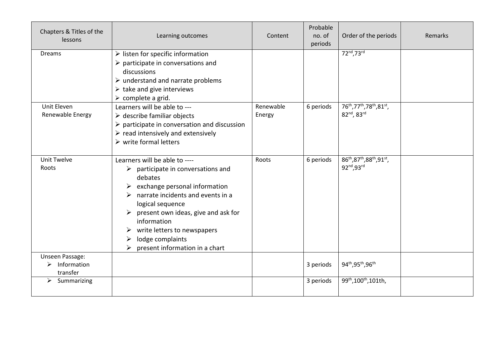| Chapters & Titles of the<br>lessons             | Learning outcomes                                                                                                                                                                                                                                                                                                                            | Content             | Probable<br>no. of<br>periods | Order of the periods                                   | Remarks |
|-------------------------------------------------|----------------------------------------------------------------------------------------------------------------------------------------------------------------------------------------------------------------------------------------------------------------------------------------------------------------------------------------------|---------------------|-------------------------------|--------------------------------------------------------|---------|
| <b>Dreams</b>                                   | $\triangleright$ listen for specific information<br>$\triangleright$ participate in conversations and<br>discussions<br>$\triangleright$ understand and narrate problems<br>$\triangleright$ take and give interviews<br>$\triangleright$ complete a grid.                                                                                   |                     |                               | 72nd, 73rd                                             |         |
| Unit Eleven<br>Renewable Energy                 | Learners will be able to ---<br>$\triangleright$ describe familiar objects<br>$\triangleright$ participate in conversation and discussion<br>$\triangleright$ read intensively and extensively<br>$\triangleright$ write formal letters                                                                                                      | Renewable<br>Energy | 6 periods                     | 76th, 77th, 78th, 81st,<br>82nd, 83rd                  |         |
| <b>Unit Twelve</b><br>Roots                     | Learners will be able to ----<br>$\triangleright$ participate in conversations and<br>debates<br>exchange personal information<br>narrate incidents and events in a<br>logical sequence<br>present own ideas, give and ask for<br>information<br>write letters to newspapers<br>➤<br>lodge complaints<br>➤<br>present information in a chart | Roots               | 6 periods                     | 86th, 87th, 88th, 91st,<br>92nd, 93rd                  |         |
| Unseen Passage:<br>Information<br>➤<br>transfer |                                                                                                                                                                                                                                                                                                                                              |                     | 3 periods                     | 94 <sup>th</sup> , 95 <sup>th</sup> , 96 <sup>th</sup> |         |
| $\triangleright$<br>Summarizing                 |                                                                                                                                                                                                                                                                                                                                              |                     | 3 periods                     | 99 <sup>th</sup> , 100 <sup>th</sup> , 101th,          |         |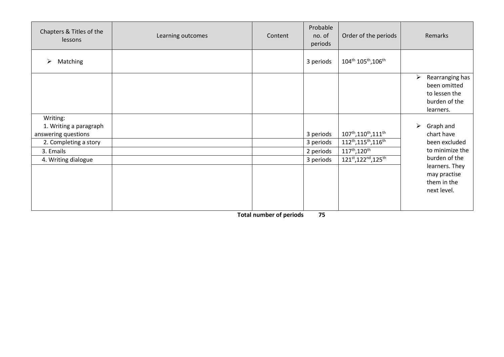| Chapters & Titles of the<br>lessons                                                                                    | Learning outcomes | Content | Probable<br>no. of<br>periods                    | Order of the periods                                                                                                                                                                                            |                       | Remarks                                                                                                                                      |
|------------------------------------------------------------------------------------------------------------------------|-------------------|---------|--------------------------------------------------|-----------------------------------------------------------------------------------------------------------------------------------------------------------------------------------------------------------------|-----------------------|----------------------------------------------------------------------------------------------------------------------------------------------|
| Matching<br>➤                                                                                                          |                   |         | 3 periods                                        | 104th 105th, 106th                                                                                                                                                                                              |                       |                                                                                                                                              |
|                                                                                                                        |                   |         |                                                  |                                                                                                                                                                                                                 | ➤                     | Rearranging has<br>been omitted<br>to lessen the<br>burden of the<br>learners.                                                               |
| Writing:<br>1. Writing a paragraph<br>answering questions<br>2. Completing a story<br>3. Emails<br>4. Writing dialogue |                   |         | 3 periods<br>3 periods<br>2 periods<br>3 periods | 107 <sup>th</sup> , 110 <sup>th</sup> , 111 <sup>th</sup><br>112 <sup>th</sup> , 115 <sup>th</sup> , 116 <sup>th</sup><br>117 <sup>th</sup> , 120 <sup>th</sup><br>121st, 122 <sup>nd</sup> , 125 <sup>th</sup> | $\blacktriangleright$ | Graph and<br>chart have<br>been excluded<br>to minimize the<br>burden of the<br>learners. They<br>may practise<br>them in the<br>next level. |

 **Total number of periods 75**